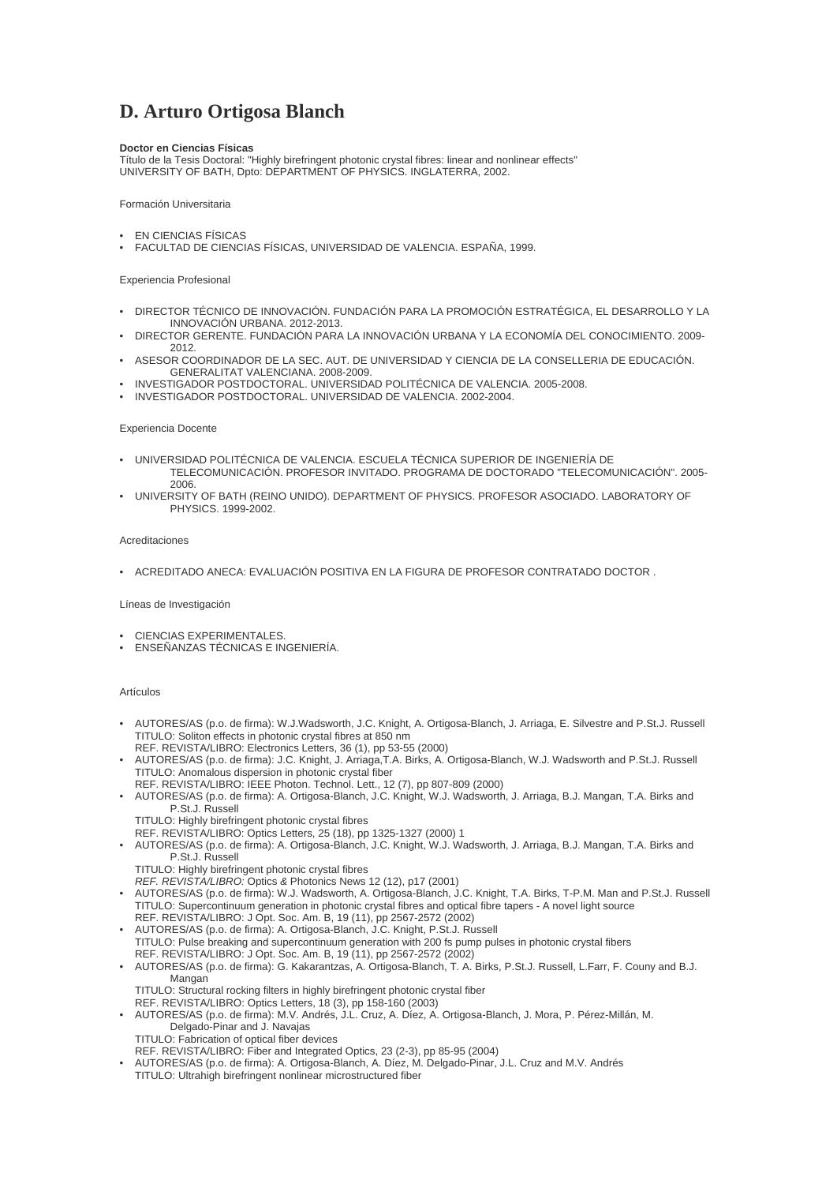# **D. Arturo Ortigosa Blanch**

# **Doctor en Ciencias Físicas**

Título de la Tesis Doctoral: "Highly birefringent photonic crystal fibres: linear and nonlinear effects" UNIVERSITY OF BATH, Dpto: DEPARTMENT OF PHYSICS. INGLATERRA, 2002.

## Formación Universitaria

- EN CIENCIAS FÍSICAS
- FACULTAD DE CIENCIAS FÍSICAS, UNIVERSIDAD DE VALENCIA. ESPAÑA, 1999.

### Experiencia Profesional

- DIRECTOR TÉCNICO DE INNOVACIÓN. FUNDACIÓN PARA LA PROMOCIÓN ESTRATÉGICA, EL DESARROLLO Y LA INNOVACIÓN URBANA. 2012-2013.
- DIRECTOR GERENTE. FUNDACIÓN PARA LA INNOVACIÓN URBANA Y LA ECONOMÍA DEL CONOCIMIENTO. 2009- 2012.
- ASESOR COORDINADOR DE LA SEC. AUT. DE UNIVERSIDAD Y CIENCIA DE LA CONSELLERIA DE EDUCACIÓN. GENERALITAT VALENCIANA. 2008-2009.
- INVESTIGADOR POSTDOCTORAL. UNIVERSIDAD POLITÉCNICA DE VALENCIA. 2005-2008.
- INVESTIGADOR POSTDOCTORAL. UNIVERSIDAD DE VALENCIA. 2002-2004.

### Experiencia Docente

- UNIVERSIDAD POLITÉCNICA DE VALENCIA. ESCUELA TÉCNICA SUPERIOR DE INGENIERÍA DE TELECOMUNICACIÓN. PROFESOR INVITADO. PROGRAMA DE DOCTORADO "TELECOMUNICACIÓN". 2005- 2006.
- UNIVERSITY OF BATH (REINO UNIDO). DEPARTMENT OF PHYSICS. PROFESOR ASOCIADO. LABORATORY OF PHYSICS. 1999-2002.

#### Acreditaciones

• ACREDITADO ANECA: EVALUACIÓN POSITIVA EN LA FIGURA DE PROFESOR CONTRATADO DOCTOR .

### Líneas de Investigación

- CIENCIAS EXPERIMENTALES.
- ENSEÑANZAS TÉCNICAS E INGENIERÍA.

#### Artículos

- AUTORES/AS (p.o. de firma): W.J.Wadsworth, J.C. Knight, A. Ortigosa-Blanch, J. Arriaga, E. Silvestre and P.St.J. Russell TITULO: Soliton effects in photonic crystal fibres at 850 nm
- REF. REVISTA/LIBRO: Electronics Letters, 36 (1), pp 53-55 (2000) • AUTORES/AS (p.o. de firma): J.C. Knight, J. Arriaga,T.A. Birks, A. Ortigosa-Blanch, W.J. Wadsworth and P.St.J. Russell TITULO: Anomalous dispersion in photonic crystal fiber
- REF. REVISTA/LIBRO: IEEE Photon. Technol. Lett., 12 (7), pp 807-809 (2000)
- AUTORES/AS (p.o. de firma): A. Ortigosa-Blanch, J.C. Knight, W.J. Wadsworth, J. Arriaga, B.J. Mangan, T.A. Birks and P.St.J. Russell
	- TITULO: Highly birefringent photonic crystal fibres
- REF. REVISTA/LIBRO: Optics Letters, 25 (18), pp 1325-1327 (2000) 1
- AUTORES/AS (p.o. de firma): A. Ortigosa-Blanch, J.C. Knight, W.J. Wadsworth, J. Arriaga, B.J. Mangan, T.A. Birks and P.St.J. Russell
	- TITULO: Highly birefringent photonic crystal fibres
- *REF. REVISTA/LIBRO:* Optics *&* Photonics News 12 (12), p17 (2001)
- AUTORES/AS (p.o. de firma): W.J. Wadsworth, A. Ortigosa-Blanch, J.C. Knight, T.A. Birks, T-P.M. Man and P.St.J. Russell TITULO: Supercontinuum generation in photonic crystal fibres and optical fibre tapers - A novel light source REF. REVISTA/LIBRO: J Opt. Soc. Am. B, 19 (11), pp 2567-2572 (2002)
- AUTORES/AS (p.o. de firma): A. Ortigosa-Blanch, J.C. Knight, P.St.J. Russell TITULO: Pulse breaking and supercontinuum generation with 200 fs pump pulses in photonic crystal fibers REF. REVISTA/LIBRO: J Opt. Soc. Am. B, 19 (11), pp 2567-2572 (2002)
- AUTORES/AS (p.o. de firma): G. Kakarantzas, A. Ortigosa-Blanch, T. A. Birks, P.St.J. Russell, L.Farr, F. Couny and B.J. Mangan
	- TITULO: Structural rocking filters in highly birefringent photonic crystal fiber
- REF. REVISTA/LIBRO: Optics Letters, 18 (3), pp 158-160 (2003)
- AUTORES/AS (p.o. de firma): M.V. Andrés, J.L. Cruz, A. Díez, A. Ortigosa-Blanch, J. Mora, P. Pérez-Millán, M. Delgado-Pinar and J. Navajas
	- TITULO: Fabrication of optical fiber devices
- REF. REVISTA/LIBRO: Fiber and Integrated Optics, 23 (2-3), pp 85-95 (2004)
- AUTORES/AS (p.o. de firma): A. Ortigosa-Blanch, A. Díez, M. Delgado-Pinar, J.L. Cruz and M.V. Andrés TITULO: Ultrahigh birefringent nonlinear microstructured fiber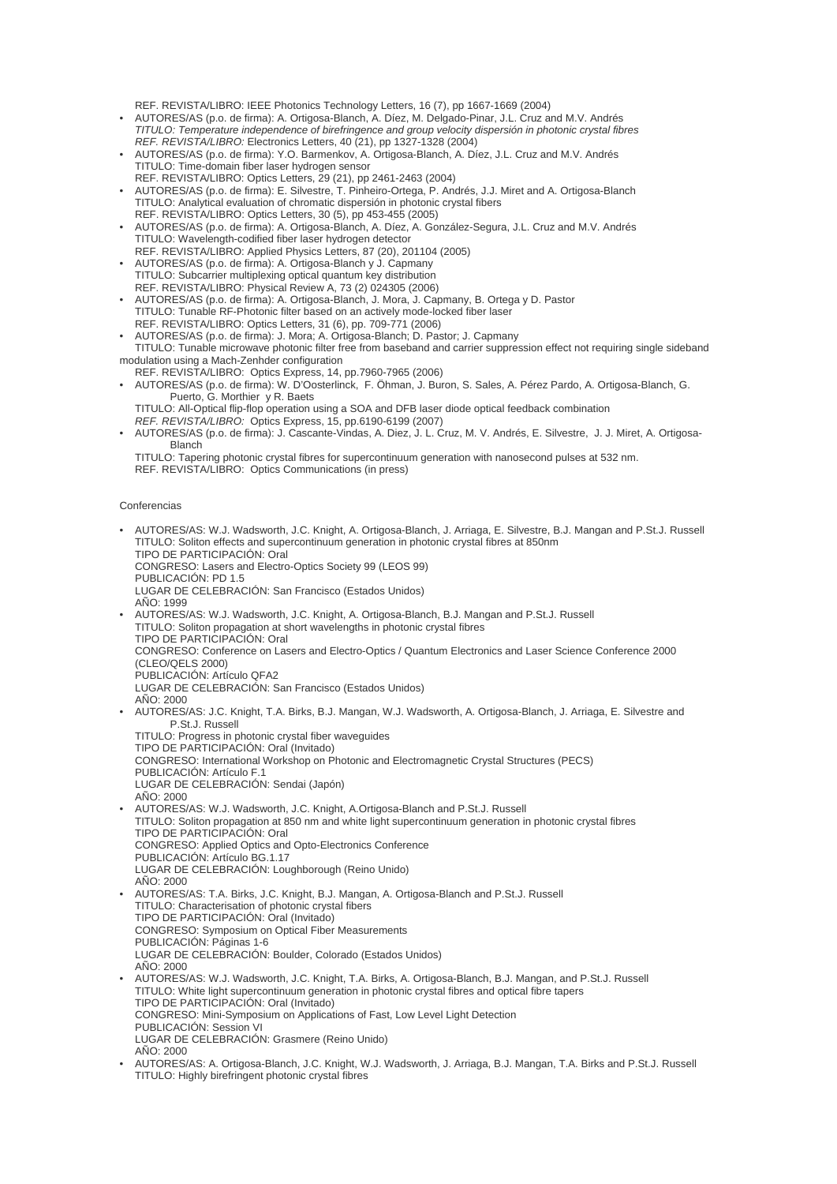REF. REVISTA/LIBRO: IEEE Photonics Technology Letters, 16 (7), pp 1667-1669 (2004)

- AUTORES/AS (p.o. de firma): A. Ortigosa-Blanch, A. Díez, M. Delgado-Pinar, J.L. Cruz and M.V. Andrés *TITULO: Temperature independence of birefringence and group velocity dispersión in photonic crystal fibres REF. REVISTA/LIBRO:* Electronics Letters, 40 (21), pp 1327-1328 (2004)
- AUTORES/AS (p.o. de firma): Y.O. Barmenkov, A. Ortigosa-Blanch, A. Díez, J.L. Cruz and M.V. Andrés TITULO: Time-domain fiber laser hydrogen sensor
- REF. REVISTA/LIBRO: Optics Letters, 29 (21), pp 2461-2463 (2004) • AUTORES/AS (p.o. de firma): E. Silvestre, T. Pinheiro-Ortega, P. Andrés, J.J. Miret and A. Ortigosa-Blanch TITULO: Analytical evaluation of chromatic dispersión in photonic crystal fibers REF. REVISTA/LIBRO: Optics Letters, 30 (5), pp 453-455 (2005)
- AUTORES/AS (p.o. de firma): A. Ortigosa-Blanch, A. Díez, A. González-Segura, J.L. Cruz and M.V. Andrés TITULO: Wavelength-codified fiber laser hydrogen detector
- REF. REVISTA/LIBRO: Applied Physics Letters, 87 (20), 201104 (2005) • AUTORES/AS (p.o. de firma): A. Ortigosa-Blanch y J. Capmany TITULO: Subcarrier multiplexing optical quantum key distribution REF. REVISTA/LIBRO: Physical Review A, 73 (2) 024305 (2006)
- AUTORES/AS (p.o. de firma): A. Ortigosa-Blanch, J. Mora, J. Capmany, B. Ortega y D. Pastor TITULO: Tunable RF-Photonic filter based on an actively mode-locked fiber laser REF. REVISTA/LIBRO: Optics Letters, 31 (6), pp. 709-771 (2006)
- AUTORES/AS (p.o. de firma): J. Mora; A. Ortigosa-Blanch; D. Pastor; J. Capmany
- TITULO: Tunable microwave photonic filter free from baseband and carrier suppression effect not requiring single sideband modulation using a Mach-Zenhder configuration
- REF. REVISTA/LIBRO: Optics Express, 14, pp.7960-7965 (2006) • AUTORES/AS (p.o. de firma): W. D'Oosterlinck, F. Öhman, J. Buron, S. Sales, A. Pérez Pardo, A. Ortigosa-Blanch, G. Puerto, G. Morthier y R. Baets
	- TITULO: All-Optical flip-flop operation using a SOA and DFB laser diode optical feedback combination *REF. REVISTA/LIBRO:* Optics Express, 15, pp.6190-6199 (2007)
- AUTORES/AS (p.o. de firma): J. Cascante-Vindas, A. Diez, J. L. Cruz, M. V. Andrés, E. Silvestre, J. J. Miret, A. Ortigosa-Blanch
- TITULO: Tapering photonic crystal fibres for supercontinuum generation with nanosecond pulses at 532 nm. REF. REVISTA/LIBRO: Optics Communications (in press)

## Conferencias

• AUTORES/AS: W.J. Wadsworth, J.C. Knight, A. Ortigosa-Blanch, J. Arriaga, E. Silvestre, B.J. Mangan and P.St.J. Russell TITULO: Soliton effects and supercontinuum generation in photonic crystal fibres at 850nm TIPO DE PARTICIPACIÓN: Oral CONGRESO: Lasers and Electro-Optics Society 99 (LEOS 99) PUBLICACIÓN: PD 1.5 LUGAR DE CELEBRACIÓN: San Francisco (Estados Unidos) AÑO: 1999 • AUTORES/AS: W.J. Wadsworth, J.C. Knight, A. Ortigosa-Blanch, B.J. Mangan and P.St.J. Russell TITULO: Soliton propagation at short wavelengths in photonic crystal fibres TIPO DE PARTICIPACIÓN: Oral CONGRESO: Conference on Lasers and Electro-Optics / Quantum Electronics and Laser Science Conference 2000 (CLEO/QELS 2000) PUBLICACIÓN: Artículo QFA2 LUGAR DE CELEBRACIÓN: San Francisco (Estados Unidos)  $A\tilde{N}O:2000$ • AUTORES/AS: J.C. Knight, T.A. Birks, B.J. Mangan, W.J. Wadsworth, A. Ortigosa-Blanch, J. Arriaga, E. Silvestre and P.St.J. Russell TITULO: Progress in photonic crystal fiber waveguides TIPO DE PARTICIPACIÓN: Oral (Invitado) CONGRESO: International Workshop on Photonic and Electromagnetic Crystal Structures (PECS) PUBLICACIÓN: Artículo F.1 LUGAR DE CELEBRACIÓN: Sendai (Japón) AÑO: 2000 • AUTORES/AS: W.J. Wadsworth, J.C. Knight, A.Ortigosa-Blanch and P.St.J. Russell TITULO: Soliton propagation at 850 nm and white light supercontinuum generation in photonic crystal fibres TIPO DE PARTICIPACIÓN: Oral CONGRESO: Applied Optics and Opto-Electronics Conference PUBLICACIÓN: Artículo BG.1.17 LUGAR DE CELEBRACIÓN: Loughborough (Reino Unido)  $A\tilde{N}$  $O:2000$ • AUTORES/AS: T.A. Birks, J.C. Knight, B.J. Mangan, A. Ortigosa-Blanch and P.St.J. Russell TITULO: Characterisation of photonic crystal fibers TIPO DE PARTICIPACIÓN: Oral (Invitado) CONGRESO: Symposium on Optical Fiber Measurements PUBLICACIÓN: Páginas 1-6 LUGAR DE CELEBRACIÓN: Boulder, Colorado (Estados Unidos) AÑO: 2000 • AUTORES/AS: W.J. Wadsworth, J.C. Knight, T.A. Birks, A. Ortigosa-Blanch, B.J. Mangan, and P.St.J. Russell TITULO: White light supercontinuum generation in photonic crystal fibres and optical fibre tapers TIPO DE PARTICIPACIÓN: Oral (Invitado) CONGRESO: Mini-Symposium on Applications of Fast, Low Level Light Detection PUBLICACIÓN: Session VI LUGAR DE CELEBRACIÓN: Grasmere (Reino Unido) AÑO: 2000 • AUTORES/AS: A. Ortigosa-Blanch, J.C. Knight, W.J. Wadsworth, J. Arriaga, B.J. Mangan, T.A. Birks and P.St.J. Russell TITULO: Highly birefringent photonic crystal fibres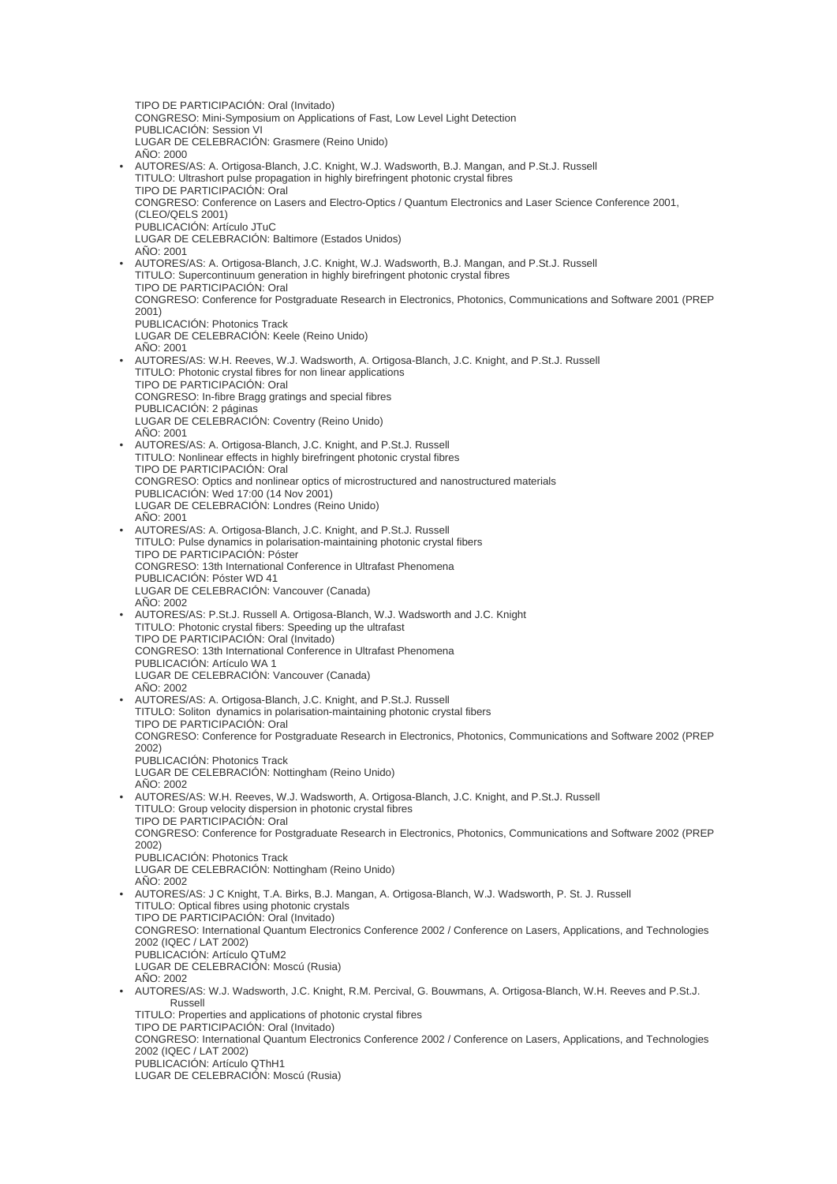TIPO DE PARTICIPACIÓN: Oral (Invitado) CONGRESO: Mini-Symposium on Applications of Fast, Low Level Light Detection PUBLICACIÓN: Session VI LUGAR DE CELEBRACIÓN: Grasmere (Reino Unido)  $A\tilde{N}$  $O:2000$ • AUTORES/AS: A. Ortigosa-Blanch, J.C. Knight, W.J. Wadsworth, B.J. Mangan, and P.St.J. Russell TITULO: Ultrashort pulse propagation in highly birefringent photonic crystal fibres TIPO DE PARTICIPACIÓN: Oral CONGRESO: Conference on Lasers and Electro-Optics / Quantum Electronics and Laser Science Conference 2001, (CLEO/QELS 2001) PUBLICACIÓN: Artículo JTuC LUGAR DE CELEBRACIÓN: Baltimore (Estados Unidos) AÑO: 2001 • AUTORES/AS: A. Ortigosa-Blanch, J.C. Knight, W.J. Wadsworth, B.J. Mangan, and P.St.J. Russell TITULO: Supercontinuum generation in highly birefringent photonic crystal fibres TIPO DE PARTICIPACIÓN: Oral CONGRESO: Conference for Postgraduate Research in Electronics, Photonics, Communications and Software 2001 (PREP 2001) PUBLICACIÓN: Photonics Track LUGAR DE CELEBRACIÓN: Keele (Reino Unido) AÑO: 2001 • AUTORES/AS: W.H. Reeves, W.J. Wadsworth, A. Ortigosa-Blanch, J.C. Knight, and P.St.J. Russell TITULO: Photonic crystal fibres for non linear applications TIPO DE PARTICIPACIÓN: Oral CONGRESO: In-fibre Bragg gratings and special fibres PUBLICACIÓN: 2 páginas LUGAR DE CELEBRACIÓN: Coventry (Reino Unido)  $A\tilde{N}O:2001$ • AUTORES/AS: A. Ortigosa-Blanch, J.C. Knight, and P.St.J. Russell TITULO: Nonlinear effects in highly birefringent photonic crystal fibres TIPO DE PARTICIPACIÓN: Oral CONGRESO: Optics and nonlinear optics of microstructured and nanostructured materials PUBLICACIÓN: Wed 17:00 (14 Nov 2001) LUGAR DE CELEBRACIÓN: Londres (Reino Unido) AÑO: 2001 • AUTORES/AS: A. Ortigosa-Blanch, J.C. Knight, and P.St.J. Russell TITULO: Pulse dynamics in polarisation-maintaining photonic crystal fibers TIPO DE PARTICIPACIÓN: Póster CONGRESO: 13th International Conference in Ultrafast Phenomena PUBLICACIÓN: Póster WD 41 LUGAR DE CELEBRACIÓN: Vancouver (Canada) AÑO: 2002 • AUTORES/AS: P.St.J. Russell A. Ortigosa-Blanch, W.J. Wadsworth and J.C. Knight TITULO: Photonic crystal fibers: Speeding up the ultrafast TIPO DE PARTICIPACIÓN: Oral (Invitado) CONGRESO: 13th International Conference in Ultrafast Phenomena PUBLICACIÓN: Artículo WA 1 LUGAR DE CELEBRACIÓN: Vancouver (Canada) AÑO: 2002 • AUTORES/AS: A. Ortigosa-Blanch, J.C. Knight, and P.St.J. Russell TITULO: Soliton dynamics in polarisation-maintaining photonic crystal fibers TIPO DE PARTICIPACIÓN: Oral CONGRESO: Conference for Postgraduate Research in Electronics, Photonics, Communications and Software 2002 (PREP 2002) PUBLICACIÓN: Photonics Track LUGAR DE CELEBRACIÓN: Nottingham (Reino Unido) AÑO: 2002 • AUTORES/AS: W.H. Reeves, W.J. Wadsworth, A. Ortigosa-Blanch, J.C. Knight, and P.St.J. Russell TITULO: Group velocity dispersion in photonic crystal fibres TIPO DE PARTICIPACIÓN: Oral CONGRESO: Conference for Postgraduate Research in Electronics, Photonics, Communications and Software 2002 (PREP 2002) PUBLICACIÓN: Photonics Track LUGAR DE CELEBRACIÓN: Nottingham (Reino Unido)  $A\tilde{N}$  $O:2002$ • AUTORES/AS: J C Knight, T.A. Birks, B.J. Mangan, A. Ortigosa-Blanch, W.J. Wadsworth, P. St. J. Russell TITULO: Optical fibres using photonic crystals TIPO DE PARTICIPACIÓN: Oral (Invitado) CONGRESO: International Quantum Electronics Conference 2002 / Conference on Lasers, Applications, and Technologies 2002 (IQEC / LAT 2002) PUBLICACIÓN: Artículo QTuM2 LUGAR DE CELEBRACIÓN: Moscú (Rusia) AÑO: 2002 • AUTORES/AS: W.J. Wadsworth, J.C. Knight, R.M. Percival, G. Bouwmans, A. Ortigosa-Blanch, W.H. Reeves and P.St.J. Russell TITULO: Properties and applications of photonic crystal fibres TIPO DE PARTICIPACIÓN: Oral (Invitado) CONGRESO: International Quantum Electronics Conference 2002 / Conference on Lasers, Applications, and Technologies 2002 (IQEC / LAT 2002) PUBLICACIÓN: Artículo QThH1 LUGAR DE CELEBRACIÓN: Moscú (Rusia)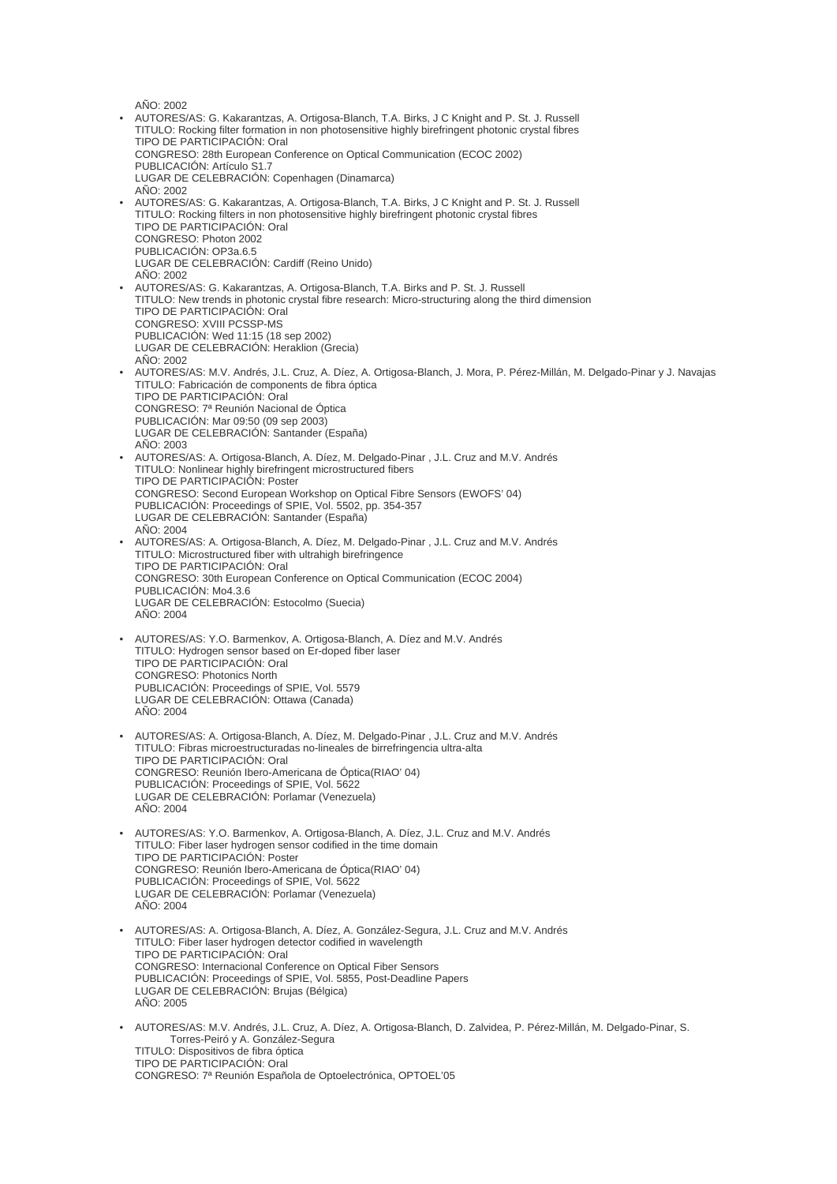AÑO: 2002

• AUTORES/AS: G. Kakarantzas, A. Ortigosa-Blanch, T.A. Birks, J C Knight and P. St. J. Russell TITULO: Rocking filter formation in non photosensitive highly birefringent photonic crystal fibres TIPO DE PARTICIPACIÓN: Oral CONGRESO: 28th European Conference on Optical Communication (ECOC 2002) PUBLICACIÓN: Artículo S1.7 LUGAR DE CELEBRACIÓN: Copenhagen (Dinamarca)  $A\tilde{N}O:2002$ • AUTORES/AS: G. Kakarantzas, A. Ortigosa-Blanch, T.A. Birks, J C Knight and P. St. J. Russell TITULO: Rocking filters in non photosensitive highly birefringent photonic crystal fibres TIPO DE PARTICIPACIÓN: Oral CONGRESO: Photon 2002 PUBLICACIÓN: OP3a.6.5 LUGAR DE CELEBRACIÓN: Cardiff (Reino Unido) AÑO: 2002 • AUTORES/AS: G. Kakarantzas, A. Ortigosa-Blanch, T.A. Birks and P. St. J. Russell TITULO: New trends in photonic crystal fibre research: Micro-structuring along the third dimension TIPO DE PARTICIPACIÓN: Oral CONGRESO: XVIII PCSSP-MS PUBLICACIÓN: Wed 11:15 (18 sep 2002) LUGAR DE CELEBRACIÓN: Heraklion (Grecia)  $A\tilde{N}O:2002$ • AUTORES/AS: M.V. Andrés, J.L. Cruz, A. Díez, A. Ortigosa-Blanch, J. Mora, P. Pérez-Millán, M. Delgado-Pinar y J. Navajas TITULO: Fabricación de components de fibra óptica TIPO DE PARTICIPACIÓN: Oral CONGRESO: 7ª Reunión Nacional de Óptica PUBLICACIÓN: Mar 09:50 (09 sep 2003) LUGAR DE CELEBRACIÓN: Santander (España) AÑO: 2003 • AUTORES/AS: A. Ortigosa-Blanch, A. Díez, M. Delgado-Pinar , J.L. Cruz and M.V. Andrés TITULO: Nonlinear highly birefringent microstructured fibers TIPO DE PARTICIPACIÓN: Poster CONGRESO: Second European Workshop on Optical Fibre Sensors (EWOFS' 04) PUBLICACIÓN: Proceedings of SPIE, Vol. 5502, pp. 354-357 LUGAR DE CELEBRACIÓN: Santander (España)  $A\tilde{N}O:2004$ • AUTORES/AS: A. Ortigosa-Blanch, A. Díez, M. Delgado-Pinar , J.L. Cruz and M.V. Andrés TITULO: Microstructured fiber with ultrahigh birefringence TIPO DE PARTICIPACIÓN: Oral CONGRESO: 30th European Conference on Optical Communication (ECOC 2004) PUBLICACIÓN: Mo4.3.6 LUGAR DE CELEBRACIÓN: Estocolmo (Suecia) AÑO: 2004 • AUTORES/AS: Y.O. Barmenkov, A. Ortigosa-Blanch, A. Díez and M.V. Andrés TITULO: Hydrogen sensor based on Er-doped fiber laser TIPO DE PARTICIPACIÓN: Oral CONGRESO: Photonics North PUBLICACIÓN: Proceedings of SPIE, Vol. 5579 LUGAR DE CELEBRACIÓN: Ottawa (Canada)  $A\tilde{N}$  $O:2004$ • AUTORES/AS: A. Ortigosa-Blanch, A. Díez, M. Delgado-Pinar , J.L. Cruz and M.V. Andrés TITULO: Fibras microestructuradas no-lineales de birrefringencia ultra-alta TIPO DE PARTICIPACIÓN: Oral CONGRESO: Reunión Ibero-Americana de Óptica(RIAO' 04) PUBLICACIÓN: Proceedings of SPIE, Vol. 5622 LUGAR DE CELEBRACIÓN: Porlamar (Venezuela) AÑO: 2004 • AUTORES/AS: Y.O. Barmenkov, A. Ortigosa-Blanch, A. Díez, J.L. Cruz and M.V. Andrés TITULO: Fiber laser hydrogen sensor codified in the time domain TIPO DE PARTICIPACIÓN: Poster CONGRESO: Reunión Ibero-Americana de Óptica(RIAO' 04) PUBLICACIÓN: Proceedings of SPIE, Vol. 5622 LUGAR DE CELEBRACIÓN: Porlamar (Venezuela)  $A\tilde{N}$  $O: 2004$ • AUTORES/AS: A. Ortigosa-Blanch, A. Díez, A. González-Segura, J.L. Cruz and M.V. Andrés TITULO: Fiber laser hydrogen detector codified in wavelength TIPO DE PARTICIPACIÓN: Oral CONGRESO: Internacional Conference on Optical Fiber Sensors PUBLICACIÓN: Proceedings of SPIE, Vol. 5855, Post-Deadline Papers LUGAR DE CELEBRACIÓN: Brujas (Bélgica) AÑO: 2005 • AUTORES/AS: M.V. Andrés, J.L. Cruz, A. Díez, A. Ortigosa-Blanch, D. Zalvidea, P. Pérez-Millán, M. Delgado-Pinar, S. Torres-Peiró y A. González-Segura TITULO: Dispositivos de fibra óptica TIPO DE PARTICIPACIÓN: Oral CONGRESO: 7ª Reunión Española de Optoelectrónica, OPTOEL'05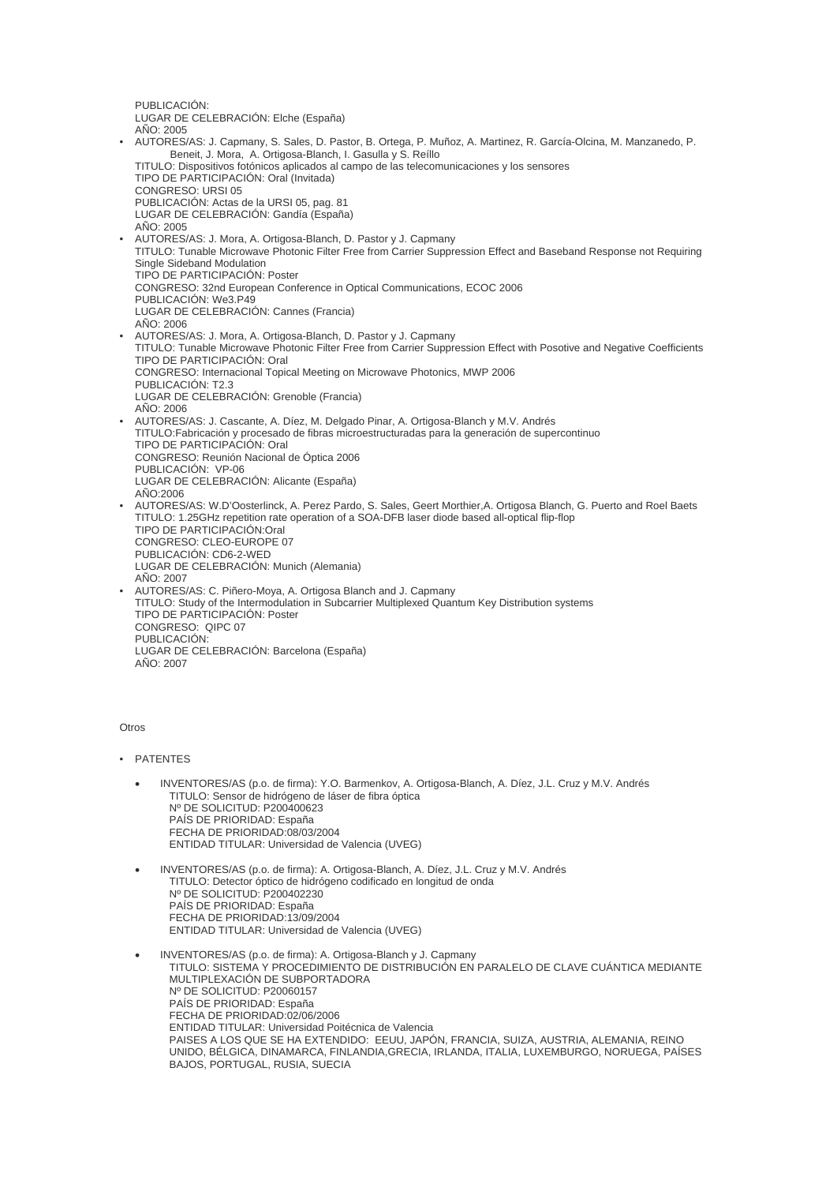PUBLICACIÓN: LUGAR DE CELEBRACIÓN: Elche (España) AÑO: 2005 • AUTORES/AS: J. Capmany, S. Sales, D. Pastor, B. Ortega, P. Muñoz, A. Martinez, R. García-Olcina, M. Manzanedo, P. Beneit, J. Mora, A. Ortigosa-Blanch, I. Gasulla y S. Reíllo TITULO: Dispositivos fotónicos aplicados al campo de las telecomunicaciones y los sensores TIPO DE PARTICIPACIÓN: Oral (Invitada) CONGRESO: URSI 05 PUBLICACIÓN: Actas de la URSI 05, pag. 81 LUGAR DE CELEBRACIÓN: Gandía (España)  $A\tilde{N}O:2005$ • AUTORES/AS: J. Mora, A. Ortigosa-Blanch, D. Pastor y J. Capmany TITULO: Tunable Microwave Photonic Filter Free from Carrier Suppression Effect and Baseband Response not Requiring Single Sideband Modulation TIPO DE PARTICIPACIÓN: Poster CONGRESO: 32nd European Conference in Optical Communications, ECOC 2006 PUBLICACIÓN: We3.P49 LUGAR DE CELEBRACIÓN: Cannes (Francia) AÑO: 2006 • AUTORES/AS: J. Mora, A. Ortigosa-Blanch, D. Pastor y J. Capmany TITULO: Tunable Microwave Photonic Filter Free from Carrier Suppression Effect with Posotive and Negative Coefficients TIPO DE PARTICIPACIÓN: Oral CONGRESO: Internacional Topical Meeting on Microwave Photonics, MWP 2006 PUBLICACIÓN: T2.3 LUGAR DE CELEBRACIÓN: Grenoble (Francia) AÑO: 2006 • AUTORES/AS: J. Cascante, A. Díez, M. Delgado Pinar, A. Ortigosa-Blanch y M.V. Andrés TITULO:Fabricación y procesado de fibras microestructuradas para la generación de supercontinuo TIPO DE PARTICIPACIÓN: Oral CONGRESO: Reunión Nacional de Óptica 2006 PUBLICACIÓN: VP-06 LUGAR DE CELEBRACIÓN: Alicante (España)  $A\tilde{N}$  $O:2006$ • AUTORES/AS: W.D'Oosterlinck, A. Perez Pardo, S. Sales, Geert Morthier,A. Ortigosa Blanch, G. Puerto and Roel Baets TITULO: 1.25GHz repetition rate operation of a SOA-DFB laser diode based all-optical flip-flop TIPO DE PARTICIPACIÓN:Oral CONGRESO: CLEO-EUROPE 07 PUBLICACIÓN: CD6-2-WED LUGAR DE CELEBRACIÓN: Munich (Alemania)  $A\tilde{N}O:2007$ • AUTORES/AS: C. Piñero-Moya, A. Ortigosa Blanch and J. Capmany TITULO: Study of the Intermodulation in Subcarrier Multiplexed Quantum Key Distribution systems TIPO DE PARTICIPACIÓN: Poster CONGRESO: QIPC 07 PUBLICACIÓN: LUGAR DE CELEBRACIÓN: Barcelona (España)  $A\tilde{N}O:2007$ 

## Otros

• PATENTES

- INVENTORES/AS (p.o. de firma): Y.O. Barmenkov, A. Ortigosa-Blanch, A. Díez, J.L. Cruz y M.V. Andrés TITULO: Sensor de hidrógeno de láser de fibra óptica Nº DE SOLICITUD: P200400623 PAÍS DE PRIORIDAD: España FECHA DE PRIORIDAD:08/03/2004 ENTIDAD TITULAR: Universidad de Valencia (UVEG)
- INVENTORES/AS (p.o. de firma): A. Ortigosa-Blanch, A. Díez, J.L. Cruz y M.V. Andrés TITULO: Detector óptico de hidrógeno codificado en longitud de onda Nº DE SOLICITUD: P200402230 PAÍS DE PRIORIDAD: España FECHA DE PRIORIDAD:13/09/2004 ENTIDAD TITULAR: Universidad de Valencia (UVEG)
- INVENTORES/AS (p.o. de firma): A. Ortigosa-Blanch y J. Capmany TITULO: SISTEMA Y PROCEDIMIENTO DE DISTRIBUCIÓN EN PARALELO DE CLAVE CUÁNTICA MEDIANTE MULTIPLEXACIÓN DE SUBPORTADORA Nº DE SOLICITUD: P20060157 PAÍS DE PRIORIDAD: España FECHA DE PRIORIDAD:02/06/2006 ENTIDAD TITULAR: Universidad Poitécnica de Valencia PAISES A LOS QUE SE HA EXTENDIDO: EEUU, JAPÓN, FRANCIA, SUIZA, AUSTRIA, ALEMANIA, REINO UNIDO, BÉLGICA, DINAMARCA, FINLANDIA,GRECIA, IRLANDA, ITALIA, LUXEMBURGO, NORUEGA, PAÍSES BAJOS, PORTUGAL, RUSIA, SUECIA